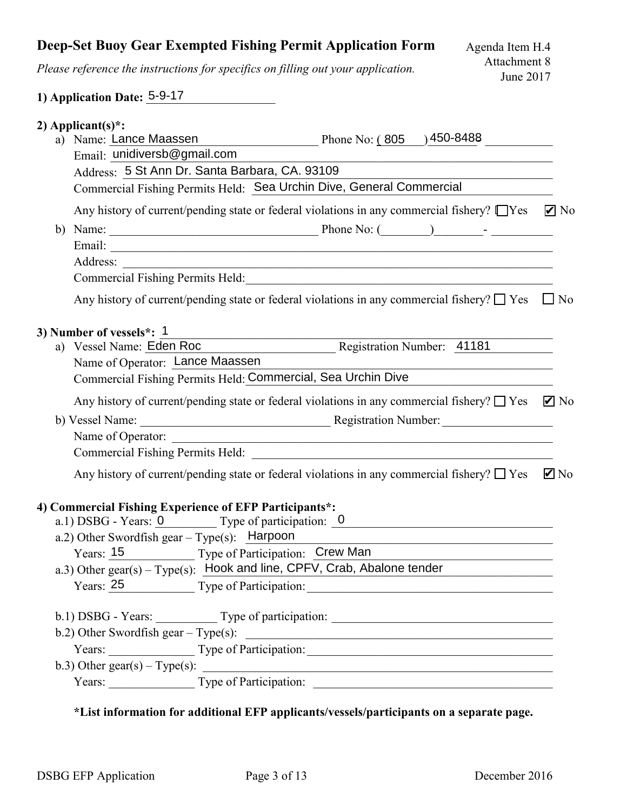## **Deep-Set Buoy Gear Exempted Fishing Permit Application Form**

*Please reference the instructions for specifics on filling out your application.*

## **1) Application Date: 5-9-17**

|    | 2) Applicant(s)*:                                                                                          |  |  |                            |  |                                                                                           |                   |
|----|------------------------------------------------------------------------------------------------------------|--|--|----------------------------|--|-------------------------------------------------------------------------------------------|-------------------|
|    | a) Name: Lance Maassen                                                                                     |  |  | Phone No: $(805)$ 450-8488 |  |                                                                                           |                   |
|    | Email: unidiversb@gmail.com                                                                                |  |  |                            |  |                                                                                           |                   |
|    | Address: 5 St Ann Dr. Santa Barbara, CA. 93109                                                             |  |  |                            |  |                                                                                           |                   |
|    | Commercial Fishing Permits Held: Sea Urchin Dive, General Commercial                                       |  |  |                            |  |                                                                                           |                   |
|    | Any history of current/pending state or federal violations in any commercial fishery? $\Box$ Yes $\Box$ No |  |  |                            |  |                                                                                           |                   |
| b) |                                                                                                            |  |  |                            |  |                                                                                           |                   |
|    |                                                                                                            |  |  |                            |  |                                                                                           |                   |
|    |                                                                                                            |  |  |                            |  |                                                                                           |                   |
|    | Commercial Fishing Permits Held: Manual According to the Second Science of Tennis Held:                    |  |  |                            |  |                                                                                           |                   |
|    | Any history of current/pending state or federal violations in any commercial fishery? $\square$ Yes        |  |  |                            |  |                                                                                           | $\Box$ No         |
|    | 3) Number of vessels*: 1                                                                                   |  |  |                            |  |                                                                                           |                   |
|    | a) Vessel Name: Eden Roc Registration Number: 41181                                                        |  |  |                            |  |                                                                                           |                   |
|    | Name of Operator: Lance Maassen                                                                            |  |  |                            |  | <u> 1989 - Johann Barbara, martxa alemani</u> ar a                                        |                   |
|    | Commercial Fishing Permits Held: Commercial, Sea Urchin Dive                                               |  |  |                            |  |                                                                                           |                   |
|    | Any history of current/pending state or federal violations in any commercial fishery? $\Box$ Yes $\Box$ No |  |  |                            |  |                                                                                           |                   |
|    |                                                                                                            |  |  |                            |  |                                                                                           |                   |
|    |                                                                                                            |  |  |                            |  |                                                                                           |                   |
|    |                                                                                                            |  |  |                            |  |                                                                                           |                   |
|    | Any history of current/pending state or federal violations in any commercial fishery? $\Box$ Yes           |  |  |                            |  |                                                                                           | $\blacksquare$ No |
|    | 4) Commercial Fishing Experience of EFP Participants*:                                                     |  |  |                            |  |                                                                                           |                   |
|    | $(a.1)$ DSBG - Years: $\underline{0}$ Type of participation: $\underline{0}$                               |  |  |                            |  |                                                                                           |                   |
|    | a.2) Other Swordfish gear $-$ Type(s): Harpoon                                                             |  |  |                            |  | the control of the control of the control of the control of the control of the control of |                   |
|    | Years: 15 Type of Participation: Crew Man                                                                  |  |  |                            |  |                                                                                           |                   |
|    | a.3) Other $gen(s) - Type(s)$ : Hook and line, CPFV, Crab, Abalone tender                                  |  |  |                            |  |                                                                                           |                   |
|    |                                                                                                            |  |  |                            |  |                                                                                           |                   |
|    | b.1) DSBG - Years: ____________ Type of participation: __________________________                          |  |  |                            |  |                                                                                           |                   |
|    |                                                                                                            |  |  |                            |  |                                                                                           |                   |
|    |                                                                                                            |  |  |                            |  |                                                                                           |                   |
|    | b.3) Other gear(s) – Type(s): $\overline{\qquad \qquad }$                                                  |  |  |                            |  |                                                                                           |                   |
|    |                                                                                                            |  |  |                            |  |                                                                                           |                   |

## **\*List information for additional EFP applicants/vessels/participants on a separate page.**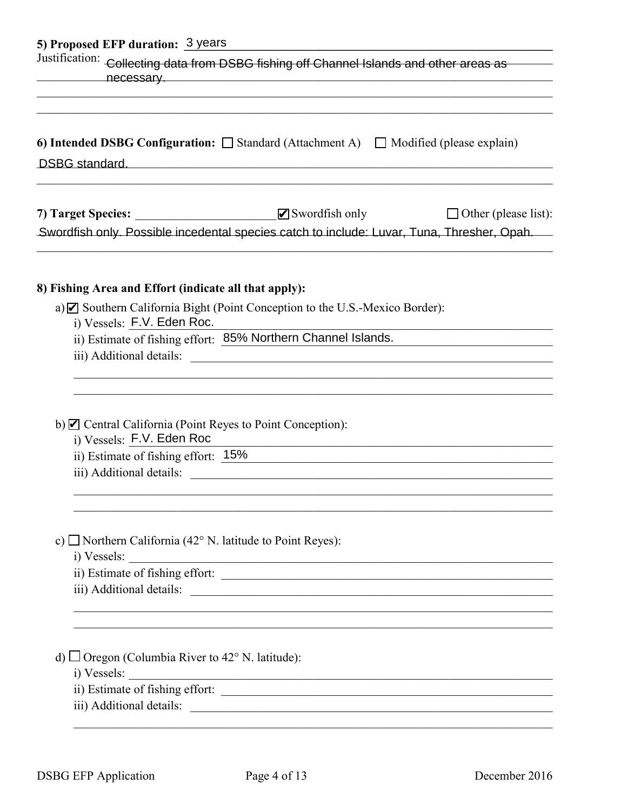| 5) Proposed EFP duration: 3 years<br>Justification: Collecting data from DSBG fishing off Channel Islands and other areas as<br>necessary. The contract of the contract of the contract of the contract of the contract of the contract of the                                                                                    |                                                                                                                      |  |  |  |  |  |
|-----------------------------------------------------------------------------------------------------------------------------------------------------------------------------------------------------------------------------------------------------------------------------------------------------------------------------------|----------------------------------------------------------------------------------------------------------------------|--|--|--|--|--|
| 6) Intended DSBG Configuration: $\Box$ Standard (Attachment A) $\Box$ Modified (please explain)<br>DSBG standard. And the standard standard state of the state of the state of the state of the state of the state of the state of the state of the state of the state of the state of the state of the state of the state of the |                                                                                                                      |  |  |  |  |  |
| Swordfish only. Possible incedental species catch to include: Luvar, Tuna, Thresher, Opah.                                                                                                                                                                                                                                        | $\Box$ Other (please list):                                                                                          |  |  |  |  |  |
| 8) Fishing Area and Effort (indicate all that apply):<br>a) Southern California Bight (Point Conception to the U.S.-Mexico Border):<br>i) Vessels: F.V. Eden Roc.<br>ii) Estimate of fishing effort: 85% Northern Channel Islands.                                                                                                |                                                                                                                      |  |  |  |  |  |
| b) $\blacksquare$ Central California (Point Reyes to Point Conception):<br>i) Vessels: F.V. Eden Roc<br>ii) Estimate of fishing effort: 15%                                                                                                                                                                                       | <u> 1989 - Jan James James James James James James James James James James James James James James James James J</u> |  |  |  |  |  |
| c) Northern California (42 $^{\circ}$ N. latitude to Point Reyes):<br>i) Vessels:<br>iii) Additional details:<br><u> 1980 - Andrea Barbara, poeta esperanto-poeta esperanto-poeta esperanto-poeta esperanto-poeta esperanto-poeta</u>                                                                                             |                                                                                                                      |  |  |  |  |  |
| d) $\Box$ Oregon (Columbia River to 42° N. latitude):<br>i) Vessels:                                                                                                                                                                                                                                                              |                                                                                                                      |  |  |  |  |  |
|                                                                                                                                                                                                                                                                                                                                   |                                                                                                                      |  |  |  |  |  |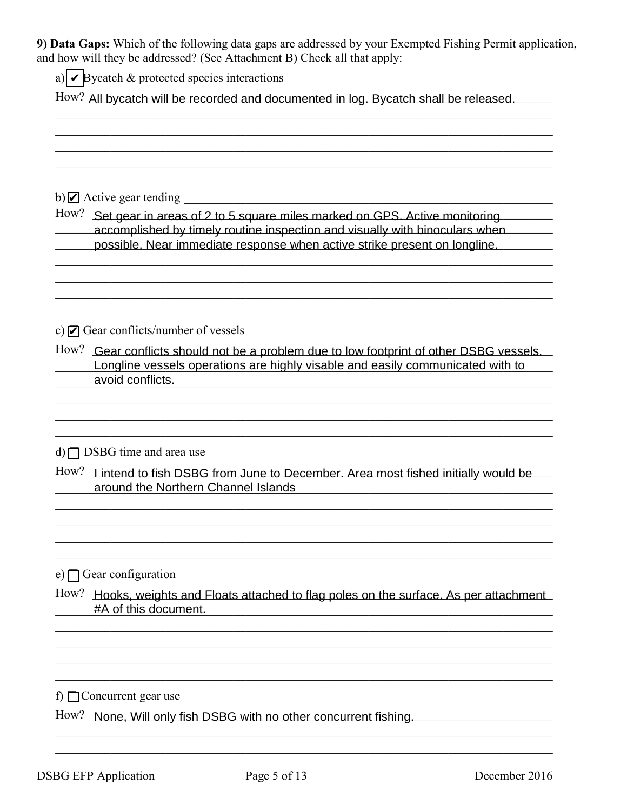9) Data Gaps: Which of the following data gaps are addressed by your Exempted Fishing Permit application, and how will they be addressed? (See Attachment B) Check all that apply:

a)  $\triangleright$  Bycatch & protected species interactions

How? All bycatch will be recorded and documented in log. Bycatch shall be released.

b)  $\blacktriangleright$  Active gear tending

How? Set gear in areas of 2 to 5 square miles marked on GPS. Active monitoring accomplished by timely routine inspection and visually with binoculars when possible. Near immediate response when active strike present on longline.

c)  $\blacksquare$  Gear conflicts/number of vessels

How? Gear conflicts should not be a problem due to low footprint of other DSBG vessels. Longline vessels operations are highly visable and easily communicated with to avoid conflicts.

 $d)$   $\Box$  DSBG time and area use

How? Lintend to fish DSBG from June to December. Area most fished initially would be around the Northern Channel Islands

e)  $\Box$  Gear configuration

How? Hooks, weights and Floats attached to flag poles on the surface. As per attachment #A of this document.

f)  $\Box$  Concurrent gear use

How? None, Will only fish DSBG with no other concurrent fishing.

**DSBG EFP Application**